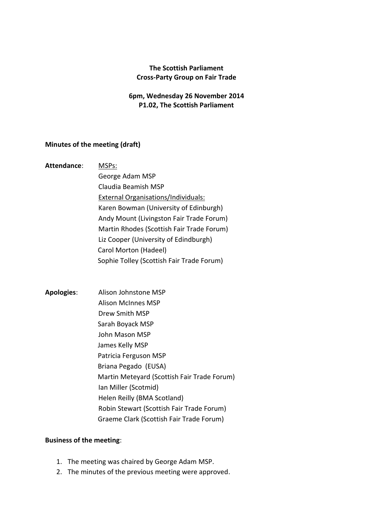## **The Scottish Parliament Cross-Party Group on Fair Trade**

## **6pm, Wednesday 26 November 2014 P1.02, The Scottish Parliament**

## **Minutes of the meeting (draft)**

- **Attendance**: MSPs: George Adam MSP Claudia Beamish MSP External Organisations/Individuals: Karen Bowman (University of Edinburgh) Andy Mount (Livingston Fair Trade Forum) Martin Rhodes (Scottish Fair Trade Forum) Liz Cooper (University of Edindburgh) Carol Morton (Hadeel) Sophie Tolley (Scottish Fair Trade Forum)
- **Apologies**: Alison Johnstone MSP Alison McInnes MSP Drew Smith MSP Sarah Boyack MSP John Mason MSP James Kelly MSP Patricia Ferguson MSP Briana Pegado (EUSA) Martin Meteyard (Scottish Fair Trade Forum) Ian Miller (Scotmid) Helen Reilly (BMA Scotland) Robin Stewart (Scottish Fair Trade Forum) Graeme Clark (Scottish Fair Trade Forum)

## **Business of the meeting**:

- 1. The meeting was chaired by George Adam MSP.
- 2. The minutes of the previous meeting were approved.